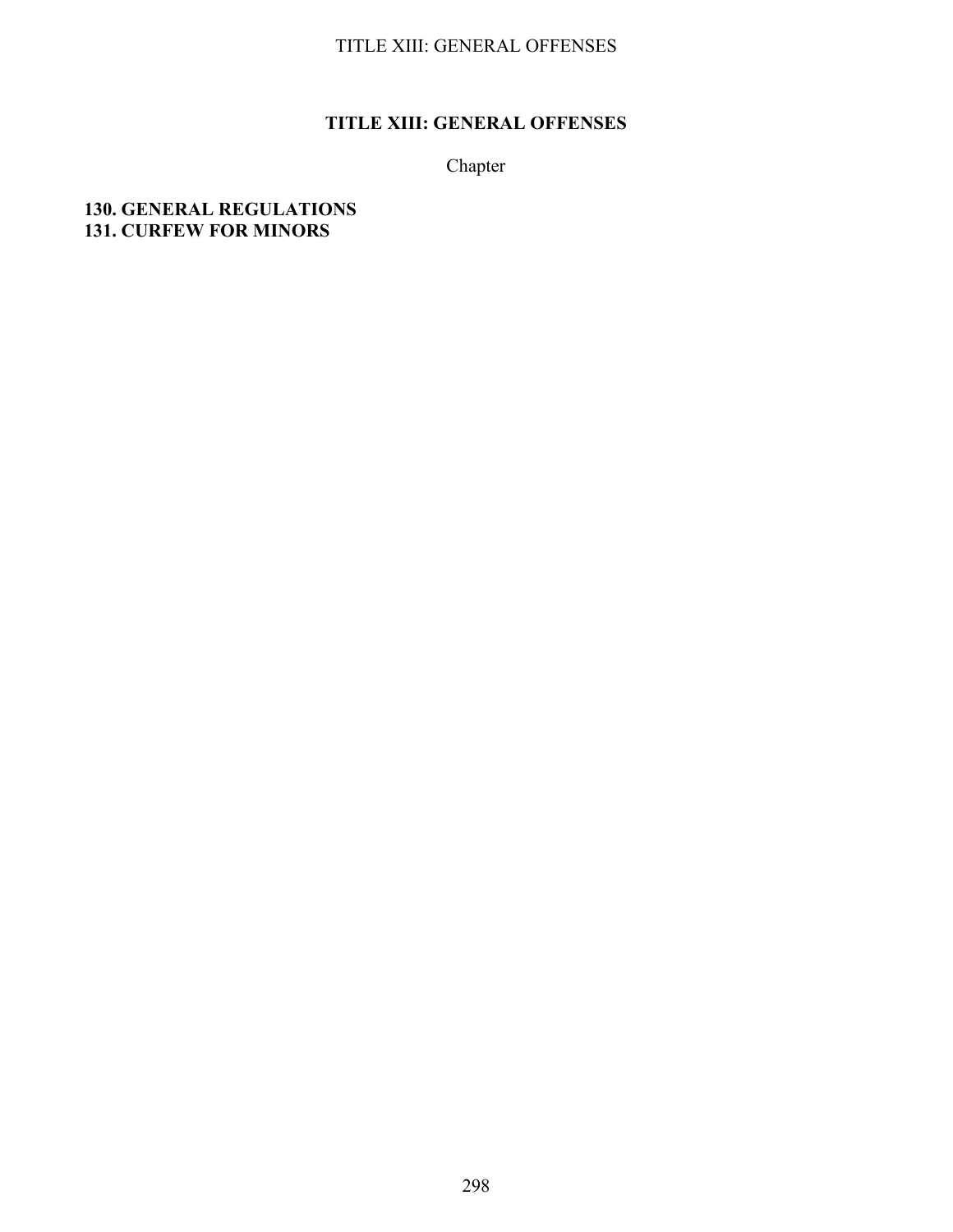# **TITLE XIII: GENERAL OFFENSES**

Chapter

**130. GENERAL REGULATIONS 131. CURFEW FOR MINORS**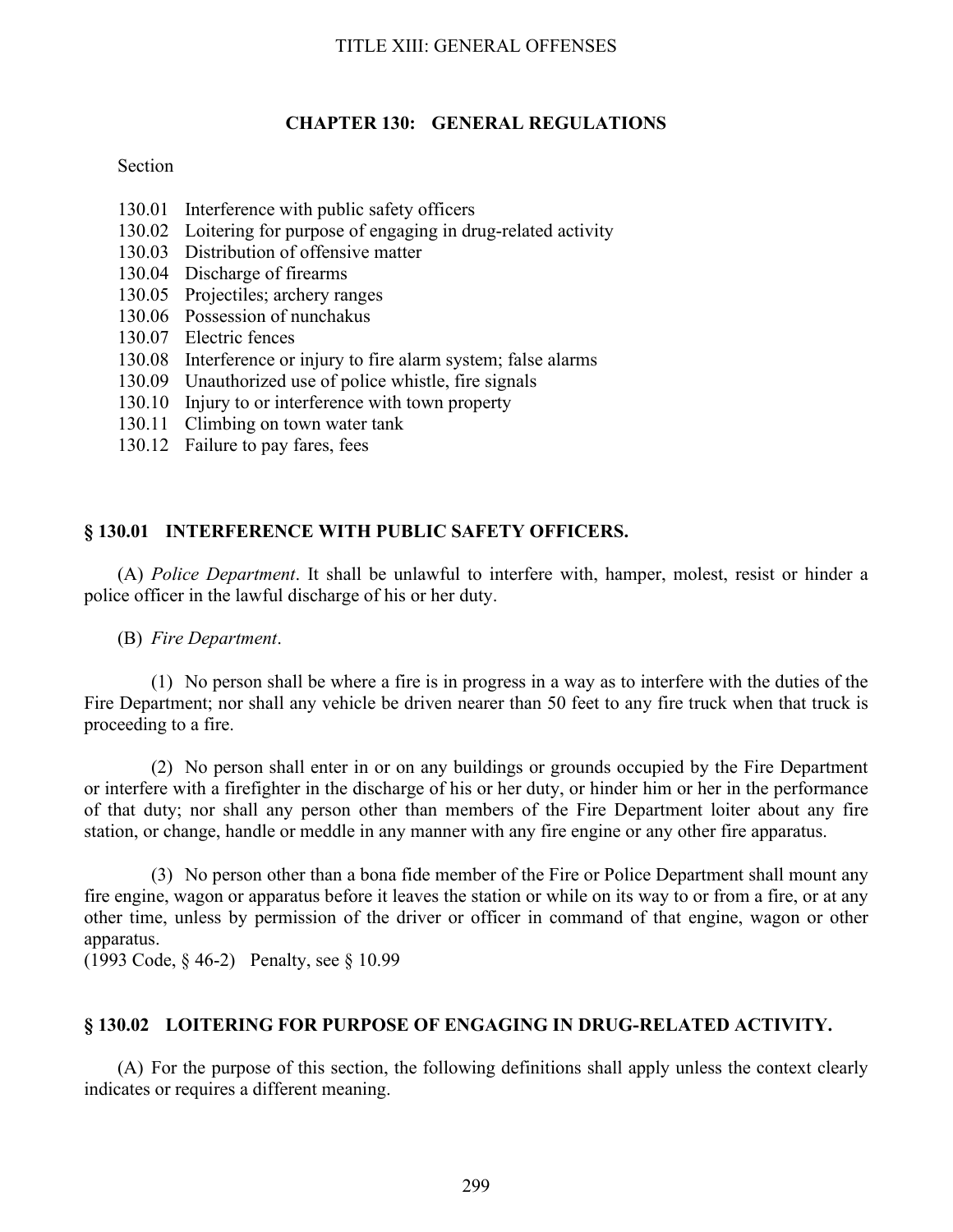# **CHAPTER 130: GENERAL REGULATIONS**

## Section

- 130.01 Interference with public safety officers
- 130.02 Loitering for purpose of engaging in drug-related activity
- 130.03 Distribution of offensive matter
- 130.04 Discharge of firearms
- 130.05 Projectiles; archery ranges
- 130.06 Possession of nunchakus
- 130.07 Electric fences
- 130.08 Interference or injury to fire alarm system; false alarms
- 130.09 Unauthorized use of police whistle, fire signals
- 130.10 Injury to or interference with town property
- 130.11 Climbing on town water tank
- 130.12 Failure to pay fares, fees

# **§ 130.01 INTERFERENCE WITH PUBLIC SAFETY OFFICERS.**

(A) *Police Department*. It shall be unlawful to interfere with, hamper, molest, resist or hinder a police officer in the lawful discharge of his or her duty.

(B) *Fire Department*.

 (1) No person shall be where a fire is in progress in a way as to interfere with the duties of the Fire Department; nor shall any vehicle be driven nearer than 50 feet to any fire truck when that truck is proceeding to a fire.

 (2) No person shall enter in or on any buildings or grounds occupied by the Fire Department or interfere with a firefighter in the discharge of his or her duty, or hinder him or her in the performance of that duty; nor shall any person other than members of the Fire Department loiter about any fire station, or change, handle or meddle in any manner with any fire engine or any other fire apparatus.

 (3) No person other than a bona fide member of the Fire or Police Department shall mount any fire engine, wagon or apparatus before it leaves the station or while on its way to or from a fire, or at any other time, unless by permission of the driver or officer in command of that engine, wagon or other apparatus.

(1993 Code, § 46-2) Penalty, see § 10.99

# **§ 130.02 LOITERING FOR PURPOSE OF ENGAGING IN DRUG-RELATED ACTIVITY.**

(A) For the purpose of this section, the following definitions shall apply unless the context clearly indicates or requires a different meaning.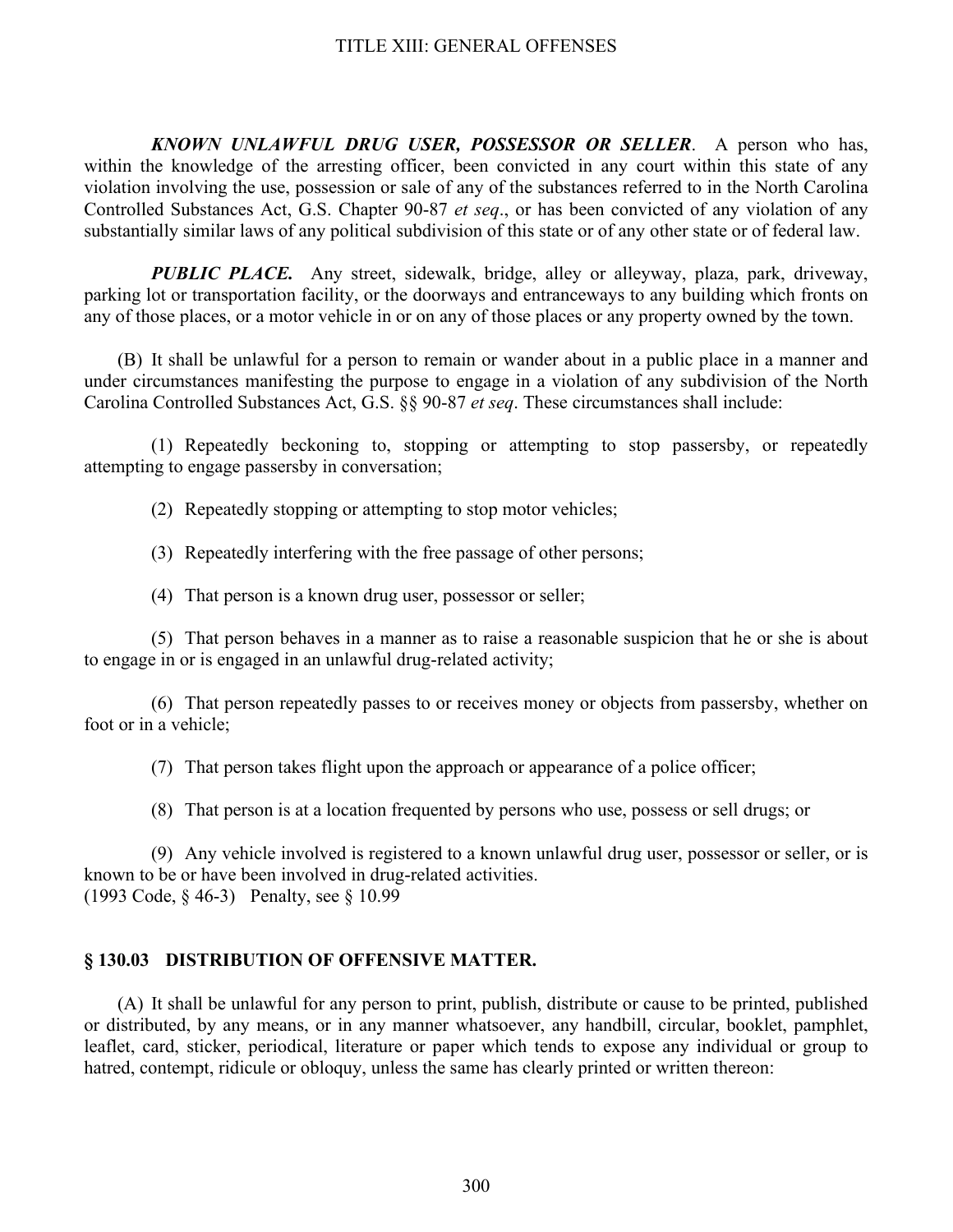*KNOWN UNLAWFUL DRUG USER, POSSESSOR OR SELLER*. A person who has, within the knowledge of the arresting officer, been convicted in any court within this state of any violation involving the use, possession or sale of any of the substances referred to in the North Carolina Controlled Substances Act, G.S. Chapter 90-87 *et seq*., or has been convicted of any violation of any substantially similar laws of any political subdivision of this state or of any other state or of federal law.

 *PUBLIC PLACE.* Any street, sidewalk, bridge, alley or alleyway, plaza, park, driveway, parking lot or transportation facility, or the doorways and entranceways to any building which fronts on any of those places, or a motor vehicle in or on any of those places or any property owned by the town.

(B) It shall be unlawful for a person to remain or wander about in a public place in a manner and under circumstances manifesting the purpose to engage in a violation of any subdivision of the North Carolina Controlled Substances Act, G.S. §§ 90-87 *et seq*. These circumstances shall include:

 (1) Repeatedly beckoning to, stopping or attempting to stop passersby, or repeatedly attempting to engage passersby in conversation;

(2) Repeatedly stopping or attempting to stop motor vehicles;

(3) Repeatedly interfering with the free passage of other persons;

(4) That person is a known drug user, possessor or seller;

 (5) That person behaves in a manner as to raise a reasonable suspicion that he or she is about to engage in or is engaged in an unlawful drug-related activity;

 (6) That person repeatedly passes to or receives money or objects from passersby, whether on foot or in a vehicle;

(7) That person takes flight upon the approach or appearance of a police officer;

(8) That person is at a location frequented by persons who use, possess or sell drugs; or

 (9) Any vehicle involved is registered to a known unlawful drug user, possessor or seller, or is known to be or have been involved in drug-related activities. (1993 Code, § 46-3) Penalty, see § 10.99

## **§ 130.03 DISTRIBUTION OF OFFENSIVE MATTER.**

(A) It shall be unlawful for any person to print, publish, distribute or cause to be printed, published or distributed, by any means, or in any manner whatsoever, any handbill, circular, booklet, pamphlet, leaflet, card, sticker, periodical, literature or paper which tends to expose any individual or group to hatred, contempt, ridicule or obloquy, unless the same has clearly printed or written thereon: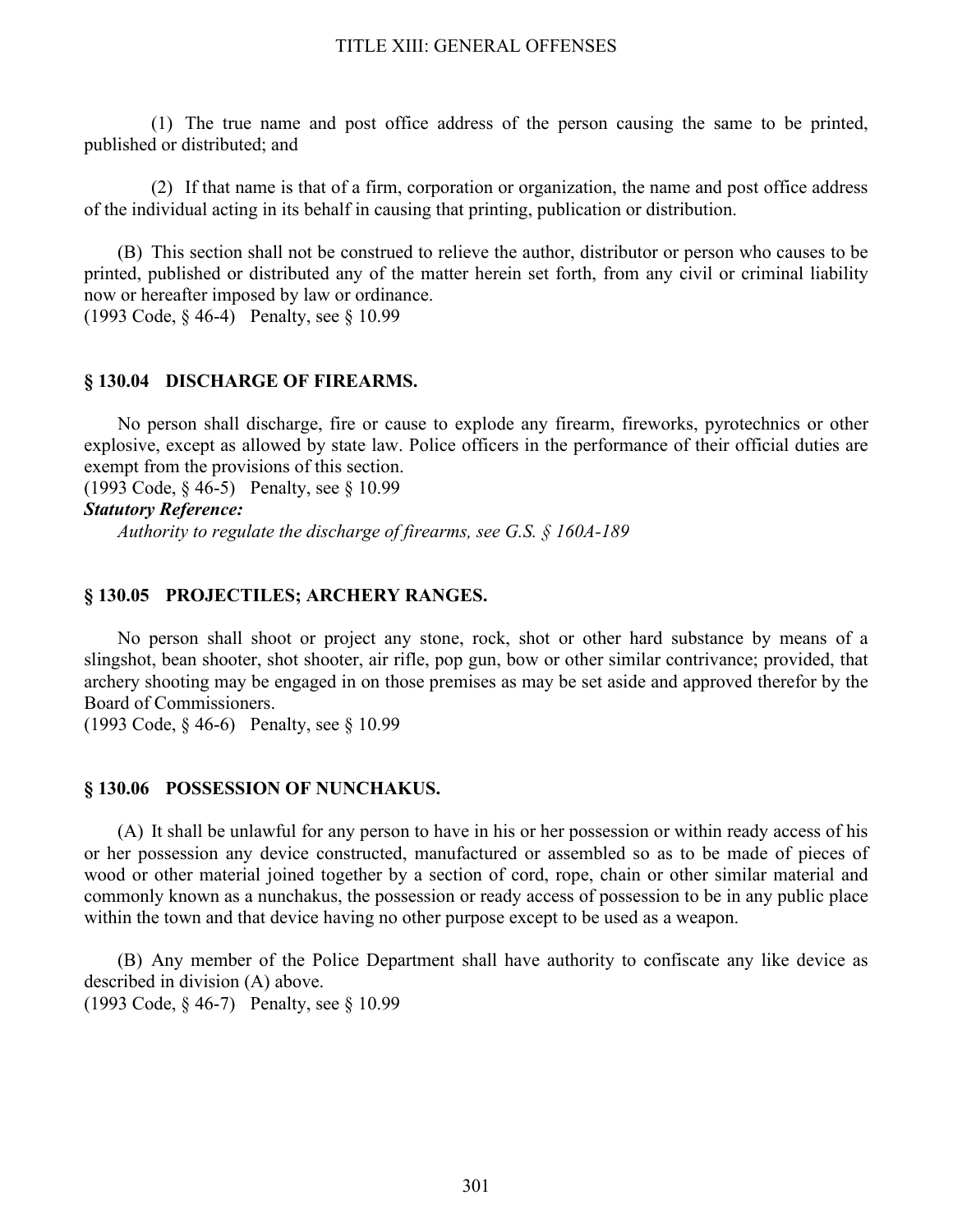(1) The true name and post office address of the person causing the same to be printed, published or distributed; and

 (2) If that name is that of a firm, corporation or organization, the name and post office address of the individual acting in its behalf in causing that printing, publication or distribution.

(B) This section shall not be construed to relieve the author, distributor or person who causes to be printed, published or distributed any of the matter herein set forth, from any civil or criminal liability now or hereafter imposed by law or ordinance.

(1993 Code, § 46-4) Penalty, see § 10.99

#### **§ 130.04 DISCHARGE OF FIREARMS.**

No person shall discharge, fire or cause to explode any firearm, fireworks, pyrotechnics or other explosive, except as allowed by state law. Police officers in the performance of their official duties are exempt from the provisions of this section.

(1993 Code, § 46-5) Penalty, see § 10.99

*Statutory Reference:*

 *Authority to regulate the discharge of firearms, see G.S. § 160A-189*

#### **§ 130.05 PROJECTILES; ARCHERY RANGES.**

No person shall shoot or project any stone, rock, shot or other hard substance by means of a slingshot, bean shooter, shot shooter, air rifle, pop gun, bow or other similar contrivance; provided, that archery shooting may be engaged in on those premises as may be set aside and approved therefor by the Board of Commissioners.

(1993 Code, § 46-6) Penalty, see § 10.99

### **§ 130.06 POSSESSION OF NUNCHAKUS.**

(A) It shall be unlawful for any person to have in his or her possession or within ready access of his or her possession any device constructed, manufactured or assembled so as to be made of pieces of wood or other material joined together by a section of cord, rope, chain or other similar material and commonly known as a nunchakus, the possession or ready access of possession to be in any public place within the town and that device having no other purpose except to be used as a weapon.

(B) Any member of the Police Department shall have authority to confiscate any like device as described in division (A) above.

(1993 Code, § 46-7) Penalty, see § 10.99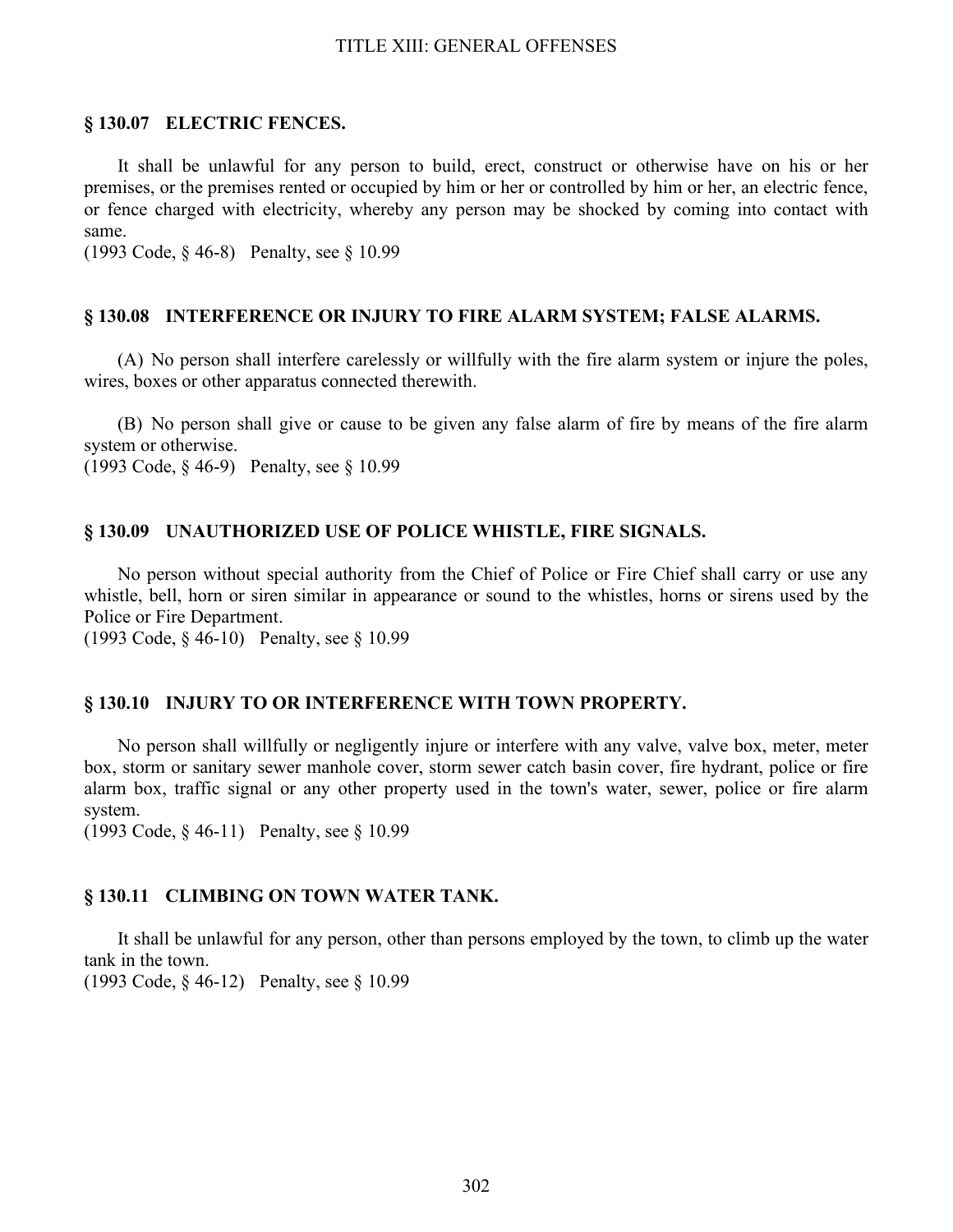#### **§ 130.07 ELECTRIC FENCES.**

It shall be unlawful for any person to build, erect, construct or otherwise have on his or her premises, or the premises rented or occupied by him or her or controlled by him or her, an electric fence, or fence charged with electricity, whereby any person may be shocked by coming into contact with same.

(1993 Code, § 46-8) Penalty, see § 10.99

#### **§ 130.08 INTERFERENCE OR INJURY TO FIRE ALARM SYSTEM; FALSE ALARMS.**

(A) No person shall interfere carelessly or willfully with the fire alarm system or injure the poles, wires, boxes or other apparatus connected therewith.

(B) No person shall give or cause to be given any false alarm of fire by means of the fire alarm system or otherwise.

(1993 Code, § 46-9) Penalty, see § 10.99

## **§ 130.09 UNAUTHORIZED USE OF POLICE WHISTLE, FIRE SIGNALS.**

No person without special authority from the Chief of Police or Fire Chief shall carry or use any whistle, bell, horn or siren similar in appearance or sound to the whistles, horns or sirens used by the Police or Fire Department.

(1993 Code, § 46-10) Penalty, see § 10.99

## **§ 130.10 INJURY TO OR INTERFERENCE WITH TOWN PROPERTY.**

No person shall willfully or negligently injure or interfere with any valve, valve box, meter, meter box, storm or sanitary sewer manhole cover, storm sewer catch basin cover, fire hydrant, police or fire alarm box, traffic signal or any other property used in the town's water, sewer, police or fire alarm system.

(1993 Code, § 46-11) Penalty, see § 10.99

#### **§ 130.11 CLIMBING ON TOWN WATER TANK.**

It shall be unlawful for any person, other than persons employed by the town, to climb up the water tank in the town.

(1993 Code, § 46-12) Penalty, see § 10.99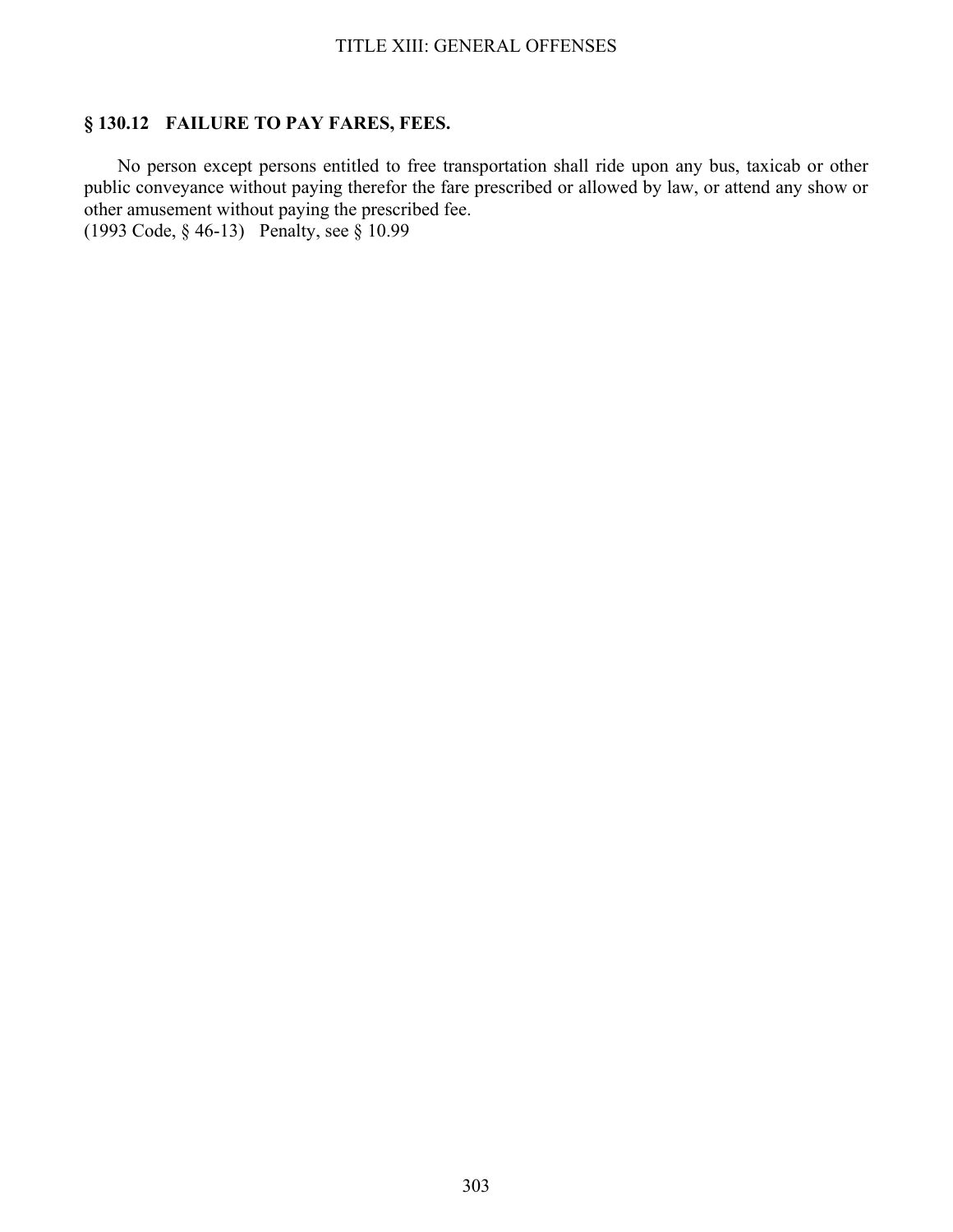# **§ 130.12 FAILURE TO PAY FARES, FEES.**

No person except persons entitled to free transportation shall ride upon any bus, taxicab or other public conveyance without paying therefor the fare prescribed or allowed by law, or attend any show or other amusement without paying the prescribed fee.

(1993 Code, § 46-13) Penalty, see § 10.99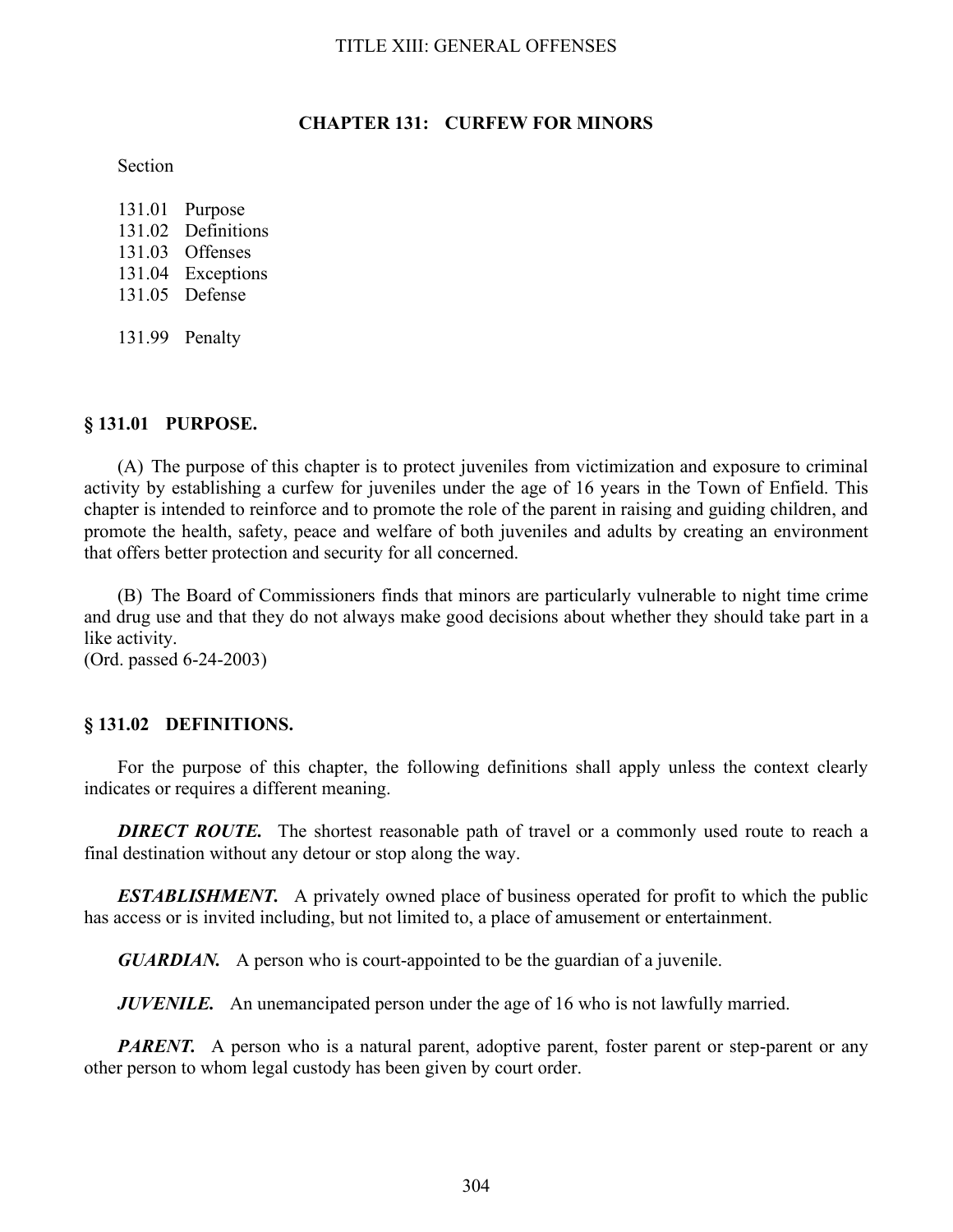## **CHAPTER 131: CURFEW FOR MINORS**

Section

 131.01 Purpose 131.02 Definitions 131.03 Offenses 131.04 Exceptions 131.05 Defense

131.99 Penalty

## **§ 131.01 PURPOSE.**

(A) The purpose of this chapter is to protect juveniles from victimization and exposure to criminal activity by establishing a curfew for juveniles under the age of 16 years in the Town of Enfield. This chapter is intended to reinforce and to promote the role of the parent in raising and guiding children, and promote the health, safety, peace and welfare of both juveniles and adults by creating an environment that offers better protection and security for all concerned.

(B) The Board of Commissioners finds that minors are particularly vulnerable to night time crime and drug use and that they do not always make good decisions about whether they should take part in a like activity.

(Ord. passed 6-24-2003)

## **§ 131.02 DEFINITIONS.**

For the purpose of this chapter, the following definitions shall apply unless the context clearly indicates or requires a different meaning.

**DIRECT ROUTE.** The shortest reasonable path of travel or a commonly used route to reach a final destination without any detour or stop along the way.

*ESTABLISHMENT.* A privately owned place of business operated for profit to which the public has access or is invited including, but not limited to, a place of amusement or entertainment.

*GUARDIAN.* A person who is court-appointed to be the guardian of a juvenile.

*JUVENILE.* An unemancipated person under the age of 16 who is not lawfully married.

*PARENT.* A person who is a natural parent, adoptive parent, foster parent or step-parent or any other person to whom legal custody has been given by court order.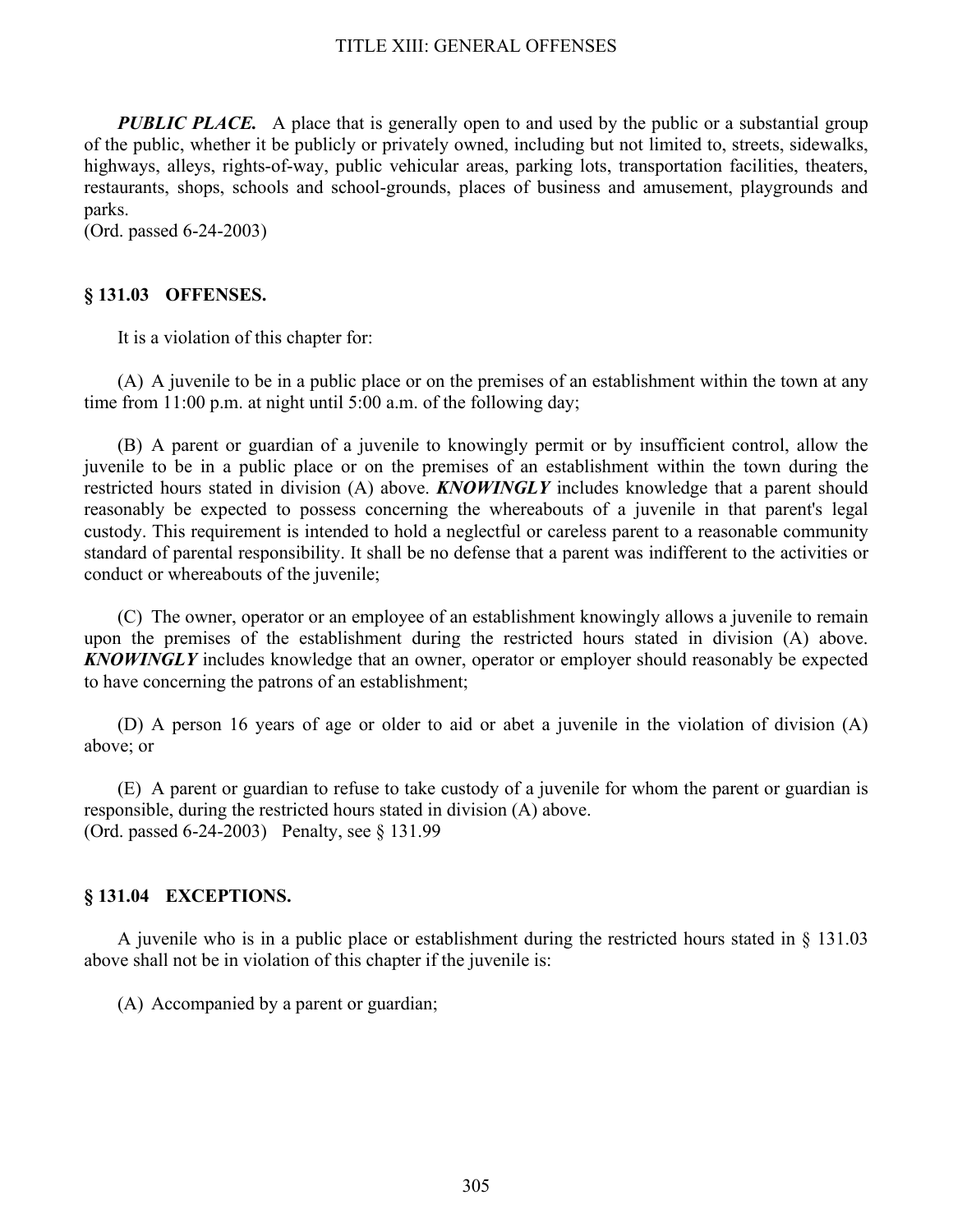**PUBLIC PLACE.** A place that is generally open to and used by the public or a substantial group of the public, whether it be publicly or privately owned, including but not limited to, streets, sidewalks, highways, alleys, rights-of-way, public vehicular areas, parking lots, transportation facilities, theaters, restaurants, shops, schools and school-grounds, places of business and amusement, playgrounds and parks.

(Ord. passed 6-24-2003)

### **§ 131.03 OFFENSES.**

It is a violation of this chapter for:

(A) A juvenile to be in a public place or on the premises of an establishment within the town at any time from 11:00 p.m. at night until 5:00 a.m. of the following day;

(B) A parent or guardian of a juvenile to knowingly permit or by insufficient control, allow the juvenile to be in a public place or on the premises of an establishment within the town during the restricted hours stated in division (A) above. *KNOWINGLY* includes knowledge that a parent should reasonably be expected to possess concerning the whereabouts of a juvenile in that parent's legal custody. This requirement is intended to hold a neglectful or careless parent to a reasonable community standard of parental responsibility. It shall be no defense that a parent was indifferent to the activities or conduct or whereabouts of the juvenile;

(C) The owner, operator or an employee of an establishment knowingly allows a juvenile to remain upon the premises of the establishment during the restricted hours stated in division (A) above. *KNOWINGLY* includes knowledge that an owner, operator or employer should reasonably be expected to have concerning the patrons of an establishment;

(D) A person 16 years of age or older to aid or abet a juvenile in the violation of division (A) above; or

(E) A parent or guardian to refuse to take custody of a juvenile for whom the parent or guardian is responsible, during the restricted hours stated in division (A) above. (Ord. passed 6-24-2003) Penalty, see § 131.99

#### **§ 131.04 EXCEPTIONS.**

A juvenile who is in a public place or establishment during the restricted hours stated in § 131.03 above shall not be in violation of this chapter if the juvenile is:

(A) Accompanied by a parent or guardian;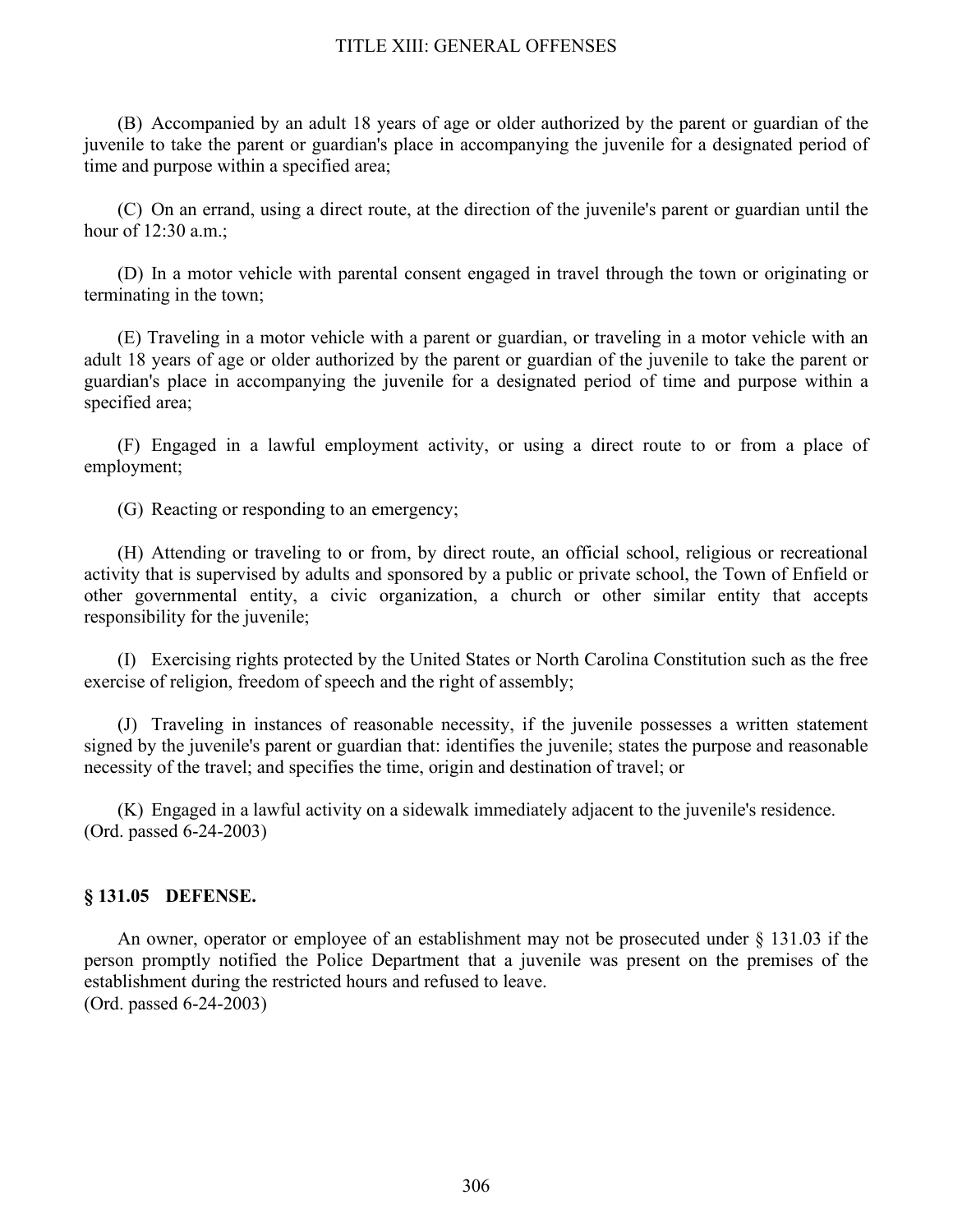(B) Accompanied by an adult 18 years of age or older authorized by the parent or guardian of the juvenile to take the parent or guardian's place in accompanying the juvenile for a designated period of time and purpose within a specified area;

(C) On an errand, using a direct route, at the direction of the juvenile's parent or guardian until the hour of 12:30 a.m.;

(D) In a motor vehicle with parental consent engaged in travel through the town or originating or terminating in the town;

(E) Traveling in a motor vehicle with a parent or guardian, or traveling in a motor vehicle with an adult 18 years of age or older authorized by the parent or guardian of the juvenile to take the parent or guardian's place in accompanying the juvenile for a designated period of time and purpose within a specified area;

(F) Engaged in a lawful employment activity, or using a direct route to or from a place of employment;

(G) Reacting or responding to an emergency;

(H) Attending or traveling to or from, by direct route, an official school, religious or recreational activity that is supervised by adults and sponsored by a public or private school, the Town of Enfield or other governmental entity, a civic organization, a church or other similar entity that accepts responsibility for the juvenile;

(I) Exercising rights protected by the United States or North Carolina Constitution such as the free exercise of religion, freedom of speech and the right of assembly;

(J) Traveling in instances of reasonable necessity, if the juvenile possesses a written statement signed by the juvenile's parent or guardian that: identifies the juvenile; states the purpose and reasonable necessity of the travel; and specifies the time, origin and destination of travel; or

(K) Engaged in a lawful activity on a sidewalk immediately adjacent to the juvenile's residence. (Ord. passed 6-24-2003)

## **§ 131.05 DEFENSE.**

An owner, operator or employee of an establishment may not be prosecuted under § 131.03 if the person promptly notified the Police Department that a juvenile was present on the premises of the establishment during the restricted hours and refused to leave. (Ord. passed 6-24-2003)